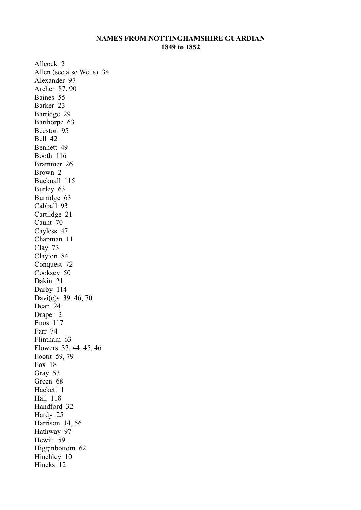## **NAMES FROM NOTTINGHAMSHIRE GUARDIAN 1849 to 1852**

Allcock 2 Allen (see also Wells) 34 Alexander 97 Archer 87. 90 Baines 55 Barker 23 Barridge 29 Barthorpe 63 Beeston 95 Bell 42 Bennett 49 Booth 116 Brammer 26 Brown 2 Bucknall 115 Burley 63 Burridge 63 Cabball 93 Cartlidge 21 Caunt 70 Cayless 47 Chapman 11 Clay 73 Clayton 84 Conquest 72 Cooksey 50 Dakin 21 Darby 114 Davi(e)s 39, 46, 70 Dean 24 Draper 2 Enos 117 Farr 74 Flintham 63 Flowers 37, 44, 45, 46 Footit 59, 79 Fox 18 Gray 53 Green 68 Hackett 1 Hall 118 Handford 32 Hardy 25 Harrison 14, 56 Hathway 97 Hewitt 59 Higginbottom 62 Hinchley 10 Hincks 12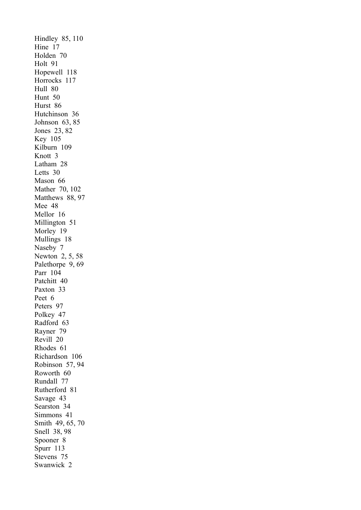Hindley 85, 110 Hine 17 Holden 70 Holt 91 Hopewell 118 Horrocks 117 Hull 80 Hunt 50 Hurst 86 Hutchinson 36 Johnson 63, 85 Jones 23, 82 Key 105 Kilburn 109 Knott 3 Latham 28 Letts 30 Mason 66 Mather 70, 102 Matthews 88, 97 Mee 48 Mellor 16 Millington 51 Morley 19 Mullings 18 Naseby 7 Newton 2, 5, 58 Palethorpe 9, 69 Parr 104 Patchitt 40 Paxton 33 Peet 6 Peters 97 Polkey 47 Radford 63 Rayner 79 Revill 20 Rhodes 61 Richardson 106 Robinson 57, 94 Roworth 60 Rundall 77 Rutherford 81 Savage 43 Searston 34 Simmons 41 Smith 49, 65, 70 Snell 38, 98 Spooner 8 Spurr 113 Stevens 75 Swanwick 2